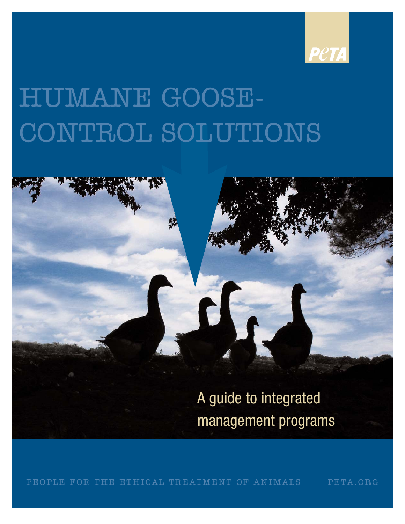



PEOPLE FOR THE ETHICAL TREATMENT OF ANIMALS • PETA.ORG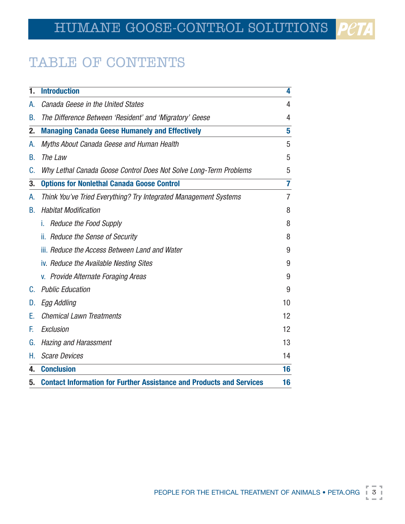# TABLE OF CONTENTS

| 1. | <b>Introduction</b>                                                         | 4  |
|----|-----------------------------------------------------------------------------|----|
| А. | Canada Geese in the United States                                           | 4  |
| В. | The Difference Between 'Resident' and 'Migratory' Geese                     | 4  |
| 2. | <b>Managing Canada Geese Humanely and Effectively</b>                       | 5  |
| A. | Myths About Canada Geese and Human Health                                   | 5  |
| В. | The Law                                                                     | 5  |
| C. | Why Lethal Canada Goose Control Does Not Solve Long-Term Problems           | 5  |
| 3. | <b>Options for Nonlethal Canada Goose Control</b>                           | 7  |
| А. | Think You've Tried Everything? Try Integrated Management Systems            | 7  |
| В. | <b>Habitat Modification</b>                                                 | 8  |
|    | <b>Reduce the Food Supply</b><br>L.                                         | 8  |
|    | ii. Reduce the Sense of Security                                            | 8  |
|    | iii. Reduce the Access Between Land and Water                               | 9  |
|    | iv. Reduce the Available Nesting Sites                                      | 9  |
|    | v. Provide Alternate Foraging Areas                                         | 9  |
| C. | <b>Public Education</b>                                                     | 9  |
| D. | Egg Addling                                                                 | 10 |
| Е. | <b>Chemical Lawn Treatments</b>                                             | 12 |
| F. | Exclusion                                                                   | 12 |
| G. | <b>Hazing and Harassment</b>                                                | 13 |
| Н. | <b>Scare Devices</b>                                                        | 14 |
| 4. | <b>Conclusion</b>                                                           | 16 |
| 5. | <b>Contact Information for Further Assistance and Products and Services</b> | 16 |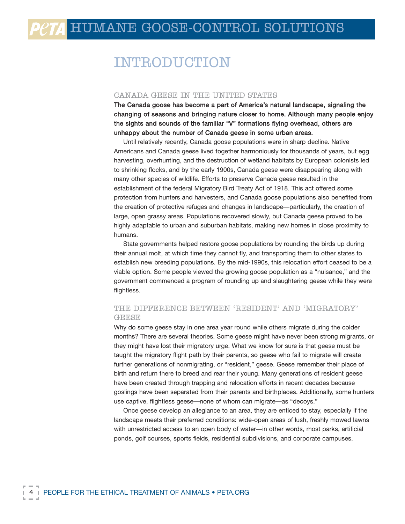# INTRODUCTION

#### CANADA GEESE IN THE UNITED STATES

The Canada goose has become a part of America's natural landscape, signaling the changing of seasons and bringing nature closer to home. Although many people enjoy the sights and sounds of the familiar "V" formations flying overhead, others are unhappy about the number of Canada geese in some urban areas.

Until relatively recently, Canada goose populations were in sharp decline. Native Americans and Canada geese lived together harmoniously for thousands of years, but egg harvesting, overhunting, and the destruction of wetland habitats by European colonists led to shrinking flocks, and by the early 1900s, Canada geese were disappearing along with many other species of wildlife. Efforts to preserve Canada geese resulted in the establishment of the federal Migratory Bird Treaty Act of 1918. This act offered some protection from hunters and harvesters, and Canada goose populations also benefited from the creation of protective refuges and changes in landscape—particularly, the creation of large, open grassy areas. Populations recovered slowly, but Canada geese proved to be highly adaptable to urban and suburban habitats, making new homes in close proximity to humans.

State governments helped restore goose populations by rounding the birds up during their annual molt, at which time they cannot fly, and transporting them to other states to establish new breeding populations. By the mid-1990s, this relocation effort ceased to be a viable option. Some people viewed the growing goose population as a "nuisance," and the government commenced a program of rounding up and slaughtering geese while they were flightless.

#### THE DIFFERENCE BETWEEN 'RESIDENT' AND 'MIGRATORY' GEESE

Why do some geese stay in one area year round while others migrate during the colder months? There are several theories. Some geese might have never been strong migrants, or they might have lost their migratory urge. What we know for sure is that geese must be taught the migratory flight path by their parents, so geese who fail to migrate will create further generations of nonmigrating, or "resident," geese. Geese remember their place of birth and return there to breed and rear their young. Many generations of resident geese have been created through trapping and relocation efforts in recent decades because goslings have been separated from their parents and birthplaces. Additionally, some hunters use captive, flightless geese—none of whom can migrate—as "decoys."

Once geese develop an allegiance to an area, they are enticed to stay, especially if the landscape meets their preferred conditions: wide-open areas of lush, freshly mowed lawns with unrestricted access to an open body of water—in other words, most parks, artificial ponds, golf courses, sports fields, residential subdivisions, and corporate campuses.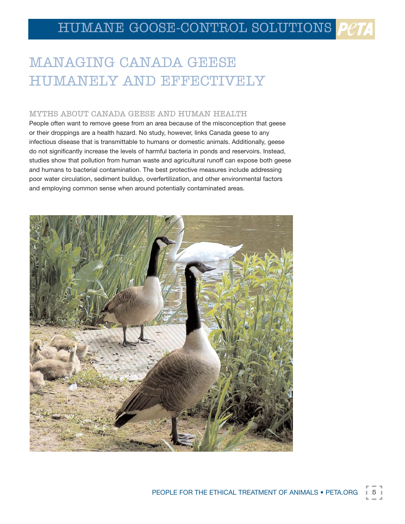# MANAGING CANADA GEESE HUMANELY AND EFFECTIVELY

#### MYTHS ABOUT CANADA GEESE AND HUMAN HEALTH

People often want to remove geese from an area because of the misconception that geese or their droppings are a health hazard. No study, however, links Canada geese to any infectious disease that is transmittable to humans or domestic animals. Additionally, geese do not significantly increase the levels of harmful bacteria in ponds and reservoirs. Instead, studies show that pollution from human waste and agricultural runoff can expose both geese and humans to bacterial contamination. The best protective measures include addressing poor water circulation, sediment buildup, overfertilization, and other environmental factors and employing common sense when around potentially contaminated areas.

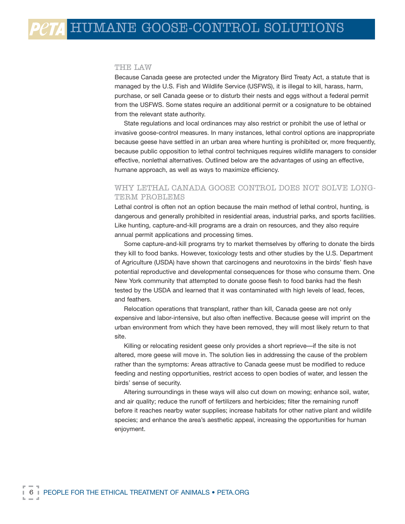#### THE LAW

Because Canada geese are protected under the Migratory Bird Treaty Act, a statute that is managed by the U.S. Fish and Wildlife Service (USFWS), it is illegal to kill, harass, harm, purchase, or sell Canada geese or to disturb their nests and eggs without a federal permit from the USFWS. Some states require an additional permit or a cosignature to be obtained from the relevant state authority.

State regulations and local ordinances may also restrict or prohibit the use of lethal or invasive goose-control measures. In many instances, lethal control options are inappropriate because geese have settled in an urban area where hunting is prohibited or, more frequently, because public opposition to lethal control techniques requires wildlife managers to consider effective, nonlethal alternatives. Outlined below are the advantages of using an effective, humane approach, as well as ways to maximize efficiency.

#### WHY LETHAL CANADA GOOSE CONTROL DOES NOT SOLVE LONG-TERM PROBLEMS

Lethal control is often not an option because the main method of lethal control, hunting, is dangerous and generally prohibited in residential areas, industrial parks, and sports facilities. Like hunting, capture-and-kill programs are a drain on resources, and they also require annual permit applications and processing times.

Some capture-and-kill programs try to market themselves by offering to donate the birds they kill to food banks. However, toxicology tests and other studies by the U.S. Department of Agriculture (USDA) have shown that carcinogens and neurotoxins in the birds' flesh have potential reproductive and developmental consequences for those who consume them. One New York community that attempted to donate goose flesh to food banks had the flesh tested by the USDA and learned that it was contaminated with high levels of lead, feces, and feathers.

Relocation operations that transplant, rather than kill, Canada geese are not only expensive and labor-intensive, but also often ineffective. Because geese will imprint on the urban environment from which they have been removed, they will most likely return to that site.

Killing or relocating resident geese only provides a short reprieve—if the site is not altered, more geese will move in. The solution lies in addressing the cause of the problem rather than the symptoms: Areas attractive to Canada geese must be modified to reduce feeding and nesting opportunities, restrict access to open bodies of water, and lessen the birds' sense of security.

Altering surroundings in these ways will also cut down on mowing; enhance soil, water, and air quality; reduce the runoff of fertilizers and herbicides; filter the remaining runoff before it reaches nearby water supplies; increase habitats for other native plant and wildlife species; and enhance the area's aesthetic appeal, increasing the opportunities for human enjoyment.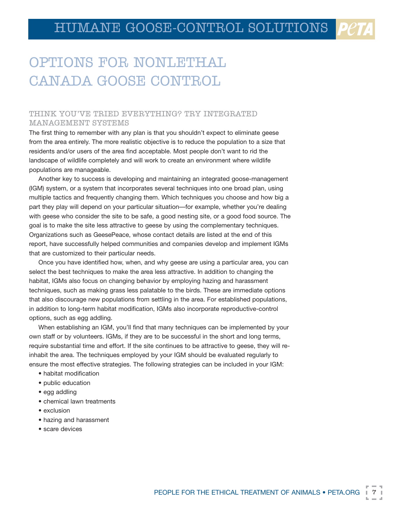# OPTIONS FOR NONLETHAL CANADA GOOSE CONTROL

#### THINK YOU'VE TRIED EVERYTHING? TRY INTEGRATED MANAGEMENT SYSTEMS

The first thing to remember with any plan is that you shouldn't expect to eliminate geese from the area entirely. The more realistic objective is to reduce the population to a size that residents and/or users of the area find acceptable. Most people don't want to rid the landscape of wildlife completely and will work to create an environment where wildlife populations are manageable.

Another key to success is developing and maintaining an integrated goose-management (IGM) system, or a system that incorporates several techniques into one broad plan, using multiple tactics and frequently changing them. Which techniques you choose and how big a part they play will depend on your particular situation—for example, whether you're dealing with geese who consider the site to be safe, a good nesting site, or a good food source. The goal is to make the site less attractive to geese by using the complementary techniques. Organizations such as GeesePeace, whose contact details are listed at the end of this report, have successfully helped communities and companies develop and implement IGMs that are customized to their particular needs.

Once you have identified how, when, and why geese are using a particular area, you can select the best techniques to make the area less attractive. In addition to changing the habitat, IGMs also focus on changing behavior by employing hazing and harassment techniques, such as making grass less palatable to the birds. These are immediate options that also discourage new populations from settling in the area. For established populations, in addition to long-term habitat modification, IGMs also incorporate reproductive-control options, such as egg addling.

When establishing an IGM, you'll find that many techniques can be implemented by your own staff or by volunteers. IGMs, if they are to be successful in the short and long terms, require substantial time and effort. If the site continues to be attractive to geese, they will reinhabit the area. The techniques employed by your IGM should be evaluated regularly to ensure the most effective strategies. The following strategies can be included in your IGM:

- habitat modification
- public education
- egg addling
- chemical lawn treatments
- exclusion
- hazing and harassment
- scare devices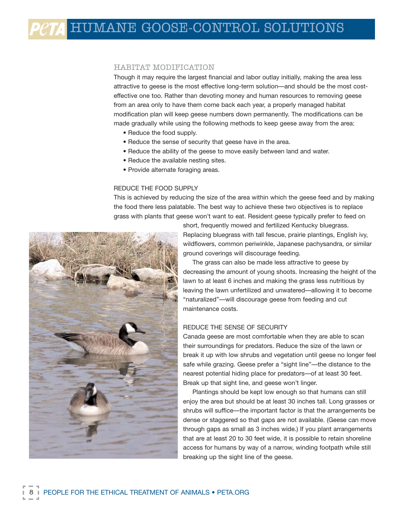#### HABITAT MODIFICATION

Though it may require the largest financial and labor outlay initially, making the area less attractive to geese is the most effective long-term solution—and should be the most costeffective one too. Rather than devoting money and human resources to removing geese from an area only to have them come back each year, a properly managed habitat modification plan will keep geese numbers down permanently. The modifications can be made gradually while using the following methods to keep geese away from the area:

- Reduce the food supply.
- Reduce the sense of security that geese have in the area.
- Reduce the ability of the geese to move easily between land and water.
- Reduce the available nesting sites.
- Provide alternate foraging areas.

#### REDUCE THE FOOD SUPPLY

This is achieved by reducing the size of the area within which the geese feed and by making the food there less palatable. The best way to achieve these two objectives is to replace grass with plants that geese won't want to eat. Resident geese typically prefer to feed on



short, frequently mowed and fertilized Kentucky bluegrass. Replacing bluegrass with tall fescue, prairie plantings, English ivy, wildflowers, common periwinkle, Japanese pachysandra, or similar ground coverings will discourage feeding.

The grass can also be made less attractive to geese by decreasing the amount of young shoots. Increasing the height of the lawn to at least 6 inches and making the grass less nutritious by leaving the lawn unfertilized and unwatered—allowing it to become "naturalized"—will discourage geese from feeding and cut maintenance costs.

#### REDUCE THE SENSE OF SECURITY

Canada geese are most comfortable when they are able to scan their surroundings for predators. Reduce the size of the lawn or break it up with low shrubs and vegetation until geese no longer feel safe while grazing. Geese prefer a "sight line"—the distance to the nearest potential hiding place for predators—of at least 30 feet. Break up that sight line, and geese won't linger.

Plantings should be kept low enough so that humans can still enjoy the area but should be at least 30 inches tall. Long grasses or shrubs will suffice—the important factor is that the arrangements be dense or staggered so that gaps are not available. (Geese can move through gaps as small as 3 inches wide.) If you plant arrangements that are at least 20 to 30 feet wide, it is possible to retain shoreline access for humans by way of a narrow, winding footpath while still breaking up the sight line of the geese.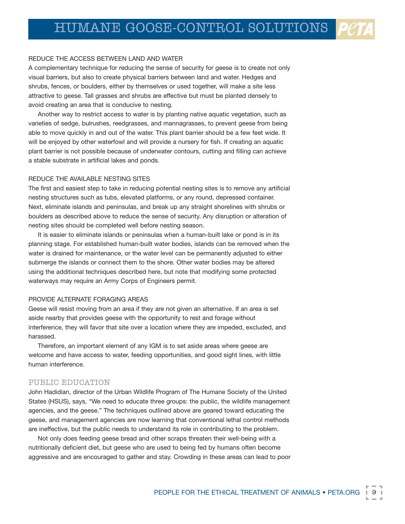#### REDUCE THE ACCESS BETWEEN LAND AND WATER

A complementary technique for reducing the sense of security for geese is to create not only visual barriers, but also to create physical barriers between land and water. Hedges and shrubs, fences, or boulders, either by themselves or used together, will make a site less attractive to geese. Tall grasses and shrubs are effective but must be planted densely to avoid creating an area that is conducive to nesting.

Another way to restrict access to water is by planting native aquatic vegetation, such as varieties of sedge, bulrushes, reedgrasses, and mannagrasses, to prevent geese from being able to move quickly in and out of the water. This plant barrier should be a few feet wide. It will be enjoyed by other waterfowl and will provide a nursery for fish. If creating an aquatic plant barrier is not possible because of underwater contours, cutting and filling can achieve a stable substrate in artificial lakes and ponds.

#### REDUCE THE AVAILABLE NESTING SITES

The first and easiest step to take in reducing potential nesting sites is to remove any artificial nesting structures such as tubs, elevated platforms, or any round, depressed container. Next, eliminate islands and peninsulas, and break up any straight shorelines with shrubs or boulders as described above to reduce the sense of security. Any disruption or alteration of nesting sites should be completed well before nesting season.

It is easier to eliminate islands or peninsulas when a human-built lake or pond is in its planning stage. For established human-built water bodies, islands can be removed when the water is drained for maintenance, or the water level can be permanently adjusted to either submerge the islands or connect them to the shore. Other water bodies may be altered using the additional techniques described here, but note that modifying some protected waterways may require an Army Corps of Engineers permit.

#### PROVIDE ALTERNATE FORAGING AREAS

Geese will resist moving from an area if they are not given an alternative. If an area is set aside nearby that provides geese with the opportunity to rest and forage without interference, they will favor that site over a location where they are impeded, excluded, and harassed.

Therefore, an important element of any IGM is to set aside areas where geese are welcome and have access to water, feeding opportunities, and good sight lines, with little human interference.

#### PUBLIC EDUCATION

John Hadidian, director of the Urban Wildlife Program of The Humane Society of the United States (HSUS), says, "We need to educate three groups: the public, the wildlife management agencies, and the geese." The techniques outlined above are geared toward educating the geese, and management agencies are now learning that conventional lethal control methods are ineffective, but the public needs to understand its role in contributing to the problem.

Not only does feeding geese bread and other scraps threaten their well-being with a nutritionally deficient diet, but geese who are used to being fed by humans often become aggressive and are encouraged to gather and stay. Crowding in these areas can lead to poor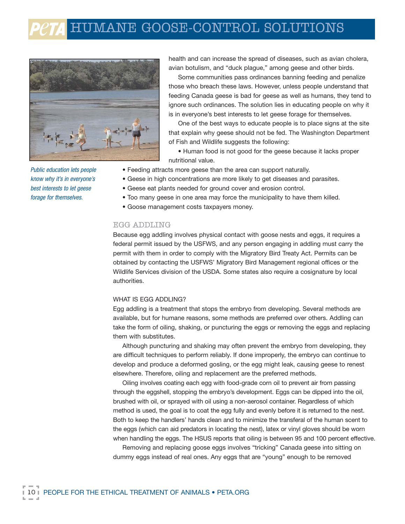

Public education lets people know why it's in everyone's best interests to let geese forage for themselves.

health and can increase the spread of diseases, such as avian cholera, avian botulism, and "duck plague," among geese and other birds.

Some communities pass ordinances banning feeding and penalize those who breach these laws. However, unless people understand that feeding Canada geese is bad for geese as well as humans, they tend to ignore such ordinances. The solution lies in educating people on why it is in everyone's best interests to let geese forage for themselves.

One of the best ways to educate people is to place signs at the site that explain why geese should not be fed. The Washington Department of Fish and Wildlife suggests the following:

• Human food is not good for the geese because it lacks proper nutritional value.

- Feeding attracts more geese than the area can support naturally.
- Geese in high concentrations are more likely to get diseases and parasites.
- Geese eat plants needed for ground cover and erosion control.
- Too many geese in one area may force the municipality to have them killed.
- Goose management costs taxpayers money.

#### EGG ADDLING

Because egg addling involves physical contact with goose nests and eggs, it requires a federal permit issued by the USFWS, and any person engaging in addling must carry the permit with them in order to comply with the Migratory Bird Treaty Act. Permits can be obtained by contacting the USFWS' Migratory Bird Management regional offices or the Wildlife Services division of the USDA. Some states also require a cosignature by local authorities.

#### WHAT IS EGG ADDLING?

Egg addling is a treatment that stops the embryo from developing. Several methods are available, but for humane reasons, some methods are preferred over others. Addling can take the form of oiling, shaking, or puncturing the eggs or removing the eggs and replacing them with substitutes.

Although puncturing and shaking may often prevent the embryo from developing, they are difficult techniques to perform reliably. If done improperly, the embryo can continue to develop and produce a deformed gosling, or the egg might leak, causing geese to renest elsewhere. Therefore, oiling and replacement are the preferred methods.

Oiling involves coating each egg with food-grade corn oil to prevent air from passing through the eggshell, stopping the embryo's development. Eggs can be dipped into the oil, brushed with oil, or sprayed with oil using a non-aerosol container. Regardless of which method is used, the goal is to coat the egg fully and evenly before it is returned to the nest. Both to keep the handlers' hands clean and to minimize the transferal of the human scent to the eggs (which can aid predators in locating the nest), latex or vinyl gloves should be worn when handling the eggs. The HSUS reports that oiling is between 95 and 100 percent effective.

Removing and replacing goose eggs involves "tricking" Canada geese into sitting on dummy eggs instead of real ones. Any eggs that are "young" enough to be removed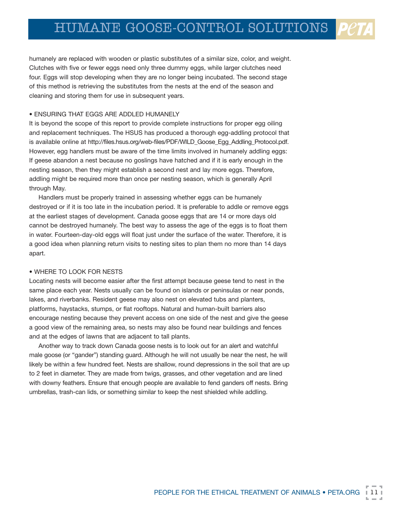humanely are replaced with wooden or plastic substitutes of a similar size, color, and weight. Clutches with five or fewer eggs need only three dummy eggs, while larger clutches need four. Eggs will stop developing when they are no longer being incubated. The second stage of this method is retrieving the substitutes from the nests at the end of the season and cleaning and storing them for use in subsequent years.

#### • ENSURING THAT EGGS ARE ADDLED HUMANELY

It is beyond the scope of this report to provide complete instructions for proper egg oiling and replacement techniques. The HSUS has produced a thorough egg-addling protocol that is available online at http://files.hsus.org/web-files/PDF/WILD\_Goose\_Egg\_Addling\_Protocol.pdf. However, egg handlers must be aware of the time limits involved in humanely addling eggs: If geese abandon a nest because no goslings have hatched and if it is early enough in the nesting season, then they might establish a second nest and lay more eggs. Therefore, addling might be required more than once per nesting season, which is generally April through May.

Handlers must be properly trained in assessing whether eggs can be humanely destroyed or if it is too late in the incubation period. It is preferable to addle or remove eggs at the earliest stages of development. Canada goose eggs that are 14 or more days old cannot be destroyed humanely. The best way to assess the age of the eggs is to float them in water. Fourteen-day-old eggs will float just under the surface of the water. Therefore, it is a good idea when planning return visits to nesting sites to plan them no more than 14 days apart.

#### • WHERE TO LOOK FOR NESTS

Locating nests will become easier after the first attempt because geese tend to nest in the same place each year. Nests usually can be found on islands or peninsulas or near ponds, lakes, and riverbanks. Resident geese may also nest on elevated tubs and planters, platforms, haystacks, stumps, or flat rooftops. Natural and human-built barriers also encourage nesting because they prevent access on one side of the nest and give the geese a good view of the remaining area, so nests may also be found near buildings and fences and at the edges of lawns that are adjacent to tall plants.

Another way to track down Canada goose nests is to look out for an alert and watchful male goose (or "gander") standing guard. Although he will not usually be near the nest, he will likely be within a few hundred feet. Nests are shallow, round depressions in the soil that are up to 2 feet in diameter. They are made from twigs, grasses, and other vegetation and are lined with downy feathers. Ensure that enough people are available to fend ganders off nests. Bring umbrellas, trash-can lids, or something similar to keep the nest shielded while addling.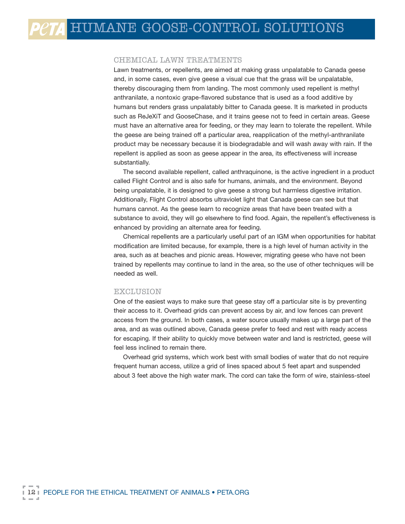#### CHEMICAL LAWN TREATMENTS

presence of geese in the area.

Lawn treatments, or repellents, are aimed at making grass unpalatable to Canada geese and, in some cases, even give geese a visual cue that the grass will be unpalatable, thereby discouraging them from landing. The most commonly used repellent is methyl anthranilate, a nontoxic grape-flavored substance that is used as a food additive by humans but renders grass unpalatably bitter to Canada geese. It is marketed in products such as ReJeXiT and GooseChase, and it trains geese not to feed in certain areas. Geese must have an alternative area for feeding, or they may learn to tolerate the repellent. While the geese are being trained off a particular area, reapplication of the methyl-anthranilate product may be necessary because it is biodegradable and will wash away with rain. If the repellent is applied as soon as geese appear in the area, its effectiveness will increase substantially.

The second available repellent, called anthraquinone, is the active ingredient in a product called Flight Control and is also safe for humans, animals, and the environment. Beyond being unpalatable, it is designed to give geese a strong but harmless digestive irritation. Additionally, Flight Control absorbs ultraviolet light that Canada geese can see but that humans cannot. As the geese learn to recognize areas that have been treated with a substance to avoid, they will go elsewhere to find food. Again, the repellent's effectiveness is enhanced by providing an alternate area for feeding.

Chemical repellents are a particularly useful part of an IGM when opportunities for habitat modification are limited because, for example, there is a high level of human activity in the area, such as at beaches and picnic areas. However, migrating geese who have not been trained by repellents may continue to land in the area, so the use of other techniques will be needed as well.

#### EXCLUSION

One of the easiest ways to make sure that geese stay off a particular site is by preventing their access to it. Overhead grids can prevent access by air, and low fences can prevent access from the ground. In both cases, a water source usually makes up a large part of the area, and as was outlined above, Canada geese prefer to feed and rest with ready access for escaping. If their ability to quickly move between water and land is restricted, geese will feel less inclined to remain there.

Overhead grid systems, which work best with small bodies of water that do not require frequent human access, utilize a grid of lines spaced about 5 feet apart and suspended about 3 feet above the high water mark. The cord can take the form of wire, stainless-steel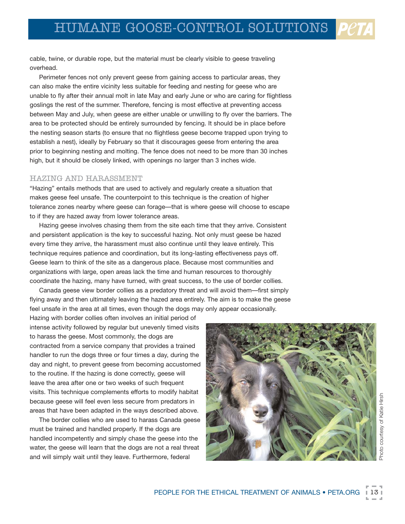cable, twine, or durable rope, but the material must be clearly visible to geese traveling overhead.

Perimeter fences not only prevent geese from gaining access to particular areas, they can also make the entire vicinity less suitable for feeding and nesting for geese who are unable to fly after their annual molt in late May and early June or who are caring for flightless goslings the rest of the summer. Therefore, fencing is most effective at preventing access between May and July, when geese are either unable or unwilling to fly over the barriers. The area to be protected should be entirely surrounded by fencing. It should be in place before the nesting season starts (to ensure that no flightless geese become trapped upon trying to establish a nest), ideally by February so that it discourages geese from entering the area prior to beginning nesting and molting. The fence does not need to be more than 30 inches high, but it should be closely linked, with openings no larger than 3 inches wide.

#### HAZING AND HARASSMENT

"Hazing" entails methods that are used to actively and regularly create a situation that makes geese feel unsafe. The counterpoint to this technique is the creation of higher tolerance zones nearby where geese can forage—that is where geese will choose to escape to if they are hazed away from lower tolerance areas.

Hazing geese involves chasing them from the site each time that they arrive. Consistent and persistent application is the key to successful hazing. Not only must geese be hazed every time they arrive, the harassment must also continue until they leave entirely. This technique requires patience and coordination, but its long-lasting effectiveness pays off. Geese learn to think of the site as a dangerous place. Because most communities and organizations with large, open areas lack the time and human resources to thoroughly coordinate the hazing, many have turned, with great success, to the use of border collies.

Canada geese view border collies as a predatory threat and will avoid them—first simply flying away and then ultimately leaving the hazed area entirely. The aim is to make the geese feel unsafe in the area at all times, even though the dogs may only appear occasionally.

Hazing with border collies often involves an initial period of intense activity followed by regular but unevenly timed visits to harass the geese. Most commonly, the dogs are contracted from a service company that provides a trained handler to run the dogs three or four times a day, during the day and night, to prevent geese from becoming accustomed to the routine. If the hazing is done correctly, geese will leave the area after one or two weeks of such frequent visits. This technique complements efforts to modify habitat because geese will feel even less secure from predators in areas that have been adapted in the ways described above.

The border collies who are used to harass Canada geese must be trained and handled properly. If the dogs are handled incompetently and simply chase the geese into the water, the geese will learn that the dogs are not a real threat and will simply wait until they leave. Furthermore, federal

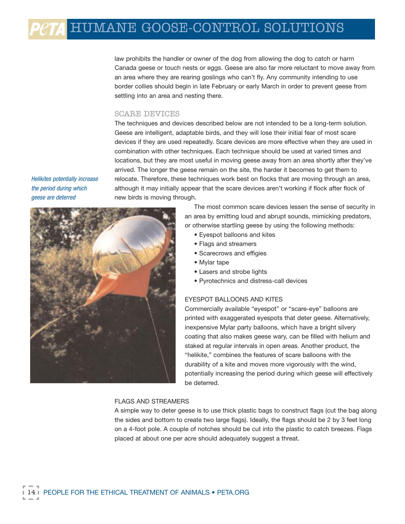# $e\tau$ A HUMANE GOOSE-CONTROL SOLUTIONS

law prohibits the handler or owner of the dog from allowing the dog to catch or harm Canada geese or touch nests or eggs. Geese are also far more reluctant to move away from an area where they are rearing goslings who can't fly. Any community intending to use border collies should begin in late February or early March in order to prevent geese from settling into an area and nesting there.

#### SCARE DEVICES

The techniques and devices described below are not intended to be a long-term solution. Geese are intelligent, adaptable birds, and they will lose their initial fear of most scare devices if they are used repeatedly. Scare devices are more effective when they are used in combination with other techniques. Each technique should be used at varied times and locations, but they are most useful in moving geese away from an area shortly after they've arrived. The longer the geese remain on the site, the harder it becomes to get them to relocate. Therefore, these techniques work best on flocks that are moving through an area, although it may initially appear that the scare devices aren't working if flock after flock of new birds is moving through.

Helikites potentially increase the period during which geese are deterred



The most common scare devices lessen the sense of security in an area by emitting loud and abrupt sounds, mimicking predators, or otherwise startling geese by using the following methods:

- Eyespot balloons and kites
- Flags and streamers
- Scarecrows and effigies
- Mylar tape
- Lasers and strobe lights
- Pyrotechnics and distress-call devices

#### EYESPOT BALLOONS AND KITES

Commercially available "eyespot" or "scare-eye" balloons are printed with exaggerated eyespots that deter geese. Alternatively, inexpensive Mylar party balloons, which have a bright silvery coating that also makes geese wary, can be filled with helium and staked at regular intervals in open areas. Another product, the "helikite," combines the features of scare balloons with the durability of a kite and moves more vigorously with the wind, potentially increasing the period during which geese will effectively be deterred.

#### FLAGS AND STREAMERS

A simple way to deter geese is to use thick plastic bags to construct flags (cut the bag along the sides and bottom to create two large flags). Ideally, the flags should be 2 by 3 feet long on a 4-foot pole. A couple of notches should be cut into the plastic to catch breezes. Flags placed at about one per acre should adequately suggest a threat.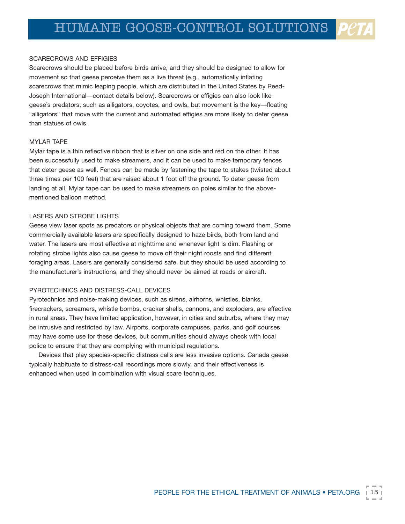#### SCARECROWS AND EFFIGIES

Scarecrows should be placed before birds arrive, and they should be designed to allow for movement so that geese perceive them as a live threat (e.g., automatically inflating scarecrows that mimic leaping people, which are distributed in the United States by Reed-Joseph International—contact details below). Scarecrows or effigies can also look like geese's predators, such as alligators, coyotes, and owls, but movement is the key—floating "alligators" that move with the current and automated effigies are more likely to deter geese than statues of owls.

#### MYLAR TAPE

Mylar tape is a thin reflective ribbon that is silver on one side and red on the other. It has been successfully used to make streamers, and it can be used to make temporary fences that deter geese as well. Fences can be made by fastening the tape to stakes (twisted about three times per 100 feet) that are raised about 1 foot off the ground. To deter geese from landing at all, Mylar tape can be used to make streamers on poles similar to the abovementioned balloon method.

#### LASERS AND STROBE LIGHTS

Geese view laser spots as predators or physical objects that are coming toward them. Some commercially available lasers are specifically designed to haze birds, both from land and water. The lasers are most effective at nighttime and whenever light is dim. Flashing or rotating strobe lights also cause geese to move off their night roosts and find different foraging areas. Lasers are generally considered safe, but they should be used according to the manufacturer's instructions, and they should never be aimed at roads or aircraft.

#### PYROTECHNICS AND DISTRESS-CALL DEVICES

Pyrotechnics and noise-making devices, such as sirens, airhorns, whistles, blanks, firecrackers, screamers, whistle bombs, cracker shells, cannons, and exploders, are effective in rural areas. They have limited application, however, in cities and suburbs, where they may be intrusive and restricted by law. Airports, corporate campuses, parks, and golf courses may have some use for these devices, but communities should always check with local police to ensure that they are complying with municipal regulations.

Devices that play species-specific distress calls are less invasive options. Canada geese typically habituate to distress-call recordings more slowly, and their effectiveness is enhanced when used in combination with visual scare techniques.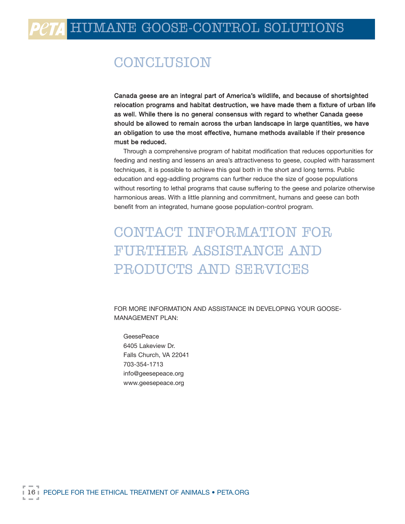# **CONCLUSION**

Canada geese are an integral part of America's wildlife, and because of shortsighted relocation programs and habitat destruction, we have made them a fixture of urban life as well. While there is no general consensus with regard to whether Canada geese should be allowed to remain across the urban landscape in large quantities, we have an obligation to use the most effective, humane methods available if their presence must be reduced.

Through a comprehensive program of habitat modification that reduces opportunities for feeding and nesting and lessens an area's attractiveness to geese, coupled with harassment techniques, it is possible to achieve this goal both in the short and long terms. Public education and egg-addling programs can further reduce the size of goose populations without resorting to lethal programs that cause suffering to the geese and polarize otherwise harmonious areas. With a little planning and commitment, humans and geese can both benefit from an integrated, humane goose population-control program.

# CONTACT INFORMATION FOR FURTHER ASSISTANCE AND PRODUCTS AND SERVICES

FOR MORE INFORMATION AND ASSISTANCE IN DEVELOPING YOUR GOOSE-MANAGEMENT PLAN:

**GeesePeace** 6405 Lakeview Dr. Falls Church, VA 22041 703-354-1713 info@geesepeace.org www.geesepeace.org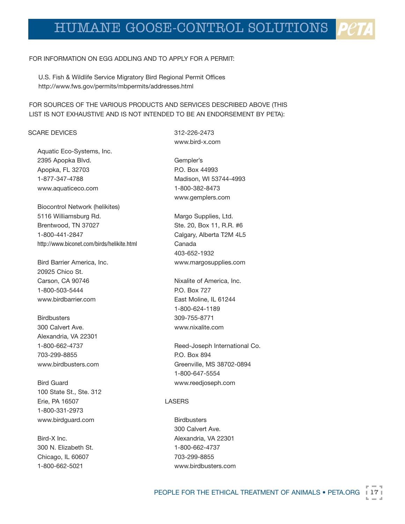#### FOR INFORMATION ON EGG ADDLING AND TO APPLY FOR A PERMIT:

U.S. Fish & Wildlife Service Migratory Bird Regional Permit Offices http://www.fws.gov/permits/mbpermits/addresses.html

FOR SOURCES OF THE VARIOUS PRODUCTS AND SERVICES DESCRIBED ABOVE (THIS LIST IS NOT EXHAUSTIVE AND IS NOT INTENDED TO BE AN ENDORSEMENT BY PETA):

#### SCARE DEVICES

Aquatic Eco-Systems, Inc. 2395 Apopka Blvd. Apopka, FL 32703 1-877-347-4788 www.aquaticeco.com

Biocontrol Network (helikites) 5116 Williamsburg Rd. Brentwood, TN 37027 1-800-441-2847 http://www.biconet.com/birds/helikite.html

Bird Barrier America, Inc. 20925 Chico St. Carson, CA 90746 1-800-503-5444 www.birdbarrier.com

**Birdbusters** 300 Calvert Ave. Alexandria, VA 22301 1-800-662-4737 703-299-8855 www.birdbusters.com

Bird Guard 100 State St., Ste. 312 Erie, PA 16507 1-800-331-2973 www.birdguard.com

Bird-X Inc. 300 N. Elizabeth St. Chicago, IL 60607 1-800-662-5021

312-226-2473 www.bird-x.com

Gempler's P.O. Box 44993 Madison, WI 53744-4993 1-800-382-8473 www.gemplers.com

Margo Supplies, Ltd. Ste. 20, Box 11, R.R. #6 Calgary, Alberta T2M 4L5 Canada 403-652-1932 www.margosupplies.com

Nixalite of America, Inc. P.O. Box 727 East Moline, IL 61244 1-800-624-1189 309-755-8771 www.nixalite.com

Reed-Joseph International Co. P.O. Box 894 Greenville, MS 38702-0894 1-800-647-5554 www.reedjoseph.com

#### LASERS

**Birdbusters** 300 Calvert Ave. Alexandria, VA 22301 1-800-662-4737 703-299-8855 www.birdbusters.com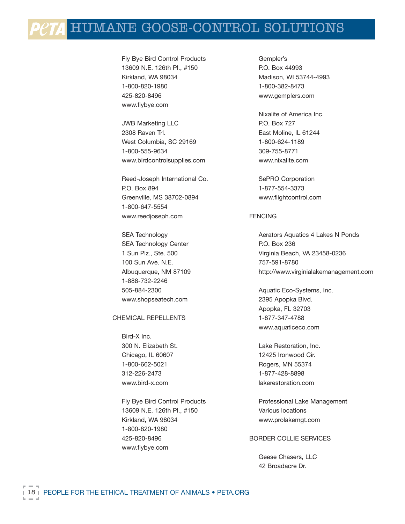Fly Bye Bird Control Products 13609 N.E. 126th Pl., #150 Kirkland, WA 98034 1-800-820-1980 425-820-8496 www.flybye.com

JWB Marketing LLC 2308 Raven Trl. West Columbia, SC 29169 1-800-555-9634 www.birdcontrolsupplies.com

Reed-Joseph International Co. P.O. Box 894 Greenville, MS 38702-0894 1-800-647-5554 www.reedjoseph.com

SEA Technology SEA Technology Center 1 Sun Plz., Ste. 500 100 Sun Ave. N.E. Albuquerque, NM 87109 1-888-732-2246 505-884-2300 www.shopseatech.com

#### CHEMICAL REPELLENTS

Bird-X Inc. 300 N. Elizabeth St. Chicago, IL 60607 1-800-662-5021 312-226-2473 www.bird-x.com

Fly Bye Bird Control Products 13609 N.E. 126th Pl., #150 Kirkland, WA 98034 1-800-820-1980 425-820-8496 www.flybye.com

Gempler's P.O. Box 44993 Madison, WI 53744-4993 1-800-382-8473 www.gemplers.com

Nixalite of America Inc. P.O. Box 727 East Moline, IL 61244 1-800-624-1189 309-755-8771 www.nixalite.com

SePRO Corporation 1-877-554-3373 www.flightcontrol.com

#### FENCING

Aerators Aquatics 4 Lakes N Ponds P.O. Box 236 Virginia Beach, VA 23458-0236 757-591-8780 http://www.virginialakemanagement.com

Aquatic Eco-Systems, Inc. 2395 Apopka Blvd. Apopka, FL 32703 1-877-347-4788 www.aquaticeco.com

Lake Restoration, Inc. 12425 Ironwood Cir. Rogers, MN 55374 1-877-428-8898 lakerestoration.com

Professional Lake Management Various locations www.prolakemgt.com

#### BORDER COLLIE SERVICES

Geese Chasers, LLC 42 Broadacre Dr.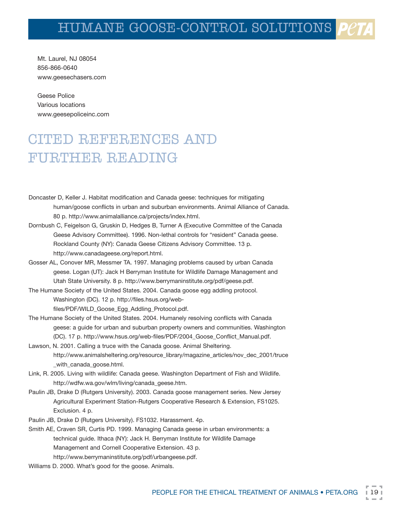Mt. Laurel, NJ 08054 856-866-0640 www.geesechasers.com

Geese Police Various locations www.geesepoliceinc.com

# CITED REFERENCES AND FURTHER READING

- Doncaster D, Keller J. Habitat modification and Canada geese: techniques for mitigating human/goose conflicts in urban and suburban environments. Animal Alliance of Canada. 80 p. http://www.animalalliance.ca/projects/index.html.
- Dornbush C, Feigelson G, Gruskin D, Hedges B, Turner A (Executive Committee of the Canada Geese Advisory Committee). 1996. Non-lethal controls for "resident" Canada geese. Rockland County (NY): Canada Geese Citizens Advisory Committee. 13 p. http://www.canadageese.org/report.html.
- Gosser AL, Conover MR, Messmer TA. 1997. Managing problems caused by urban Canada geese. Logan (UT): Jack H Berryman Institute for Wildlife Damage Management and Utah State University. 8 p. http://www.berrymaninstitute.org/pdf/geese.pdf.
- The Humane Society of the United States. 2004. Canada goose egg addling protocol. Washington (DC). 12 p. http://files.hsus.org/webfiles/PDF/WILD\_Goose\_Egg\_Addling\_Protocol.pdf.
- The Humane Society of the United States. 2004. Humanely resolving conflicts with Canada geese: a guide for urban and suburban property owners and communities. Washington (DC). 17 p. http://www.hsus.org/web-files/PDF/2004\_Goose\_Conflict\_Manual.pdf.
- Lawson, N. 2001. Calling a truce with the Canada goose. Animal Sheltering. http://www.animalsheltering.org/resource\_library/magazine\_articles/nov\_dec\_2001/truce \_with\_canada\_goose.html.
- Link, R. 2005. Living with wildlife: Canada geese. Washington Department of Fish and Wildlife. http://wdfw.wa.gov/wlm/living/canada\_geese.htm.
- Paulin JB, Drake D (Rutgers University). 2003. Canada goose management series. New Jersey Agricultural Experiment Station-Rutgers Cooperative Research & Extension, FS1025. Exclusion. 4 p.
- Paulin JB, Drake D (Rutgers University). FS1032. Harassment. 4p.
- Smith AE, Craven SR, Curtis PD. 1999. Managing Canada geese in urban environments: a technical guide. Ithaca (NY): Jack H. Berryman Institute for Wildlife Damage Management and Cornell Cooperative Extension. 43 p. http://www.berrymaninstitute.org/pdf/urbangeese.pdf.
- Williams D. 2000. What's good for the goose. Animals.